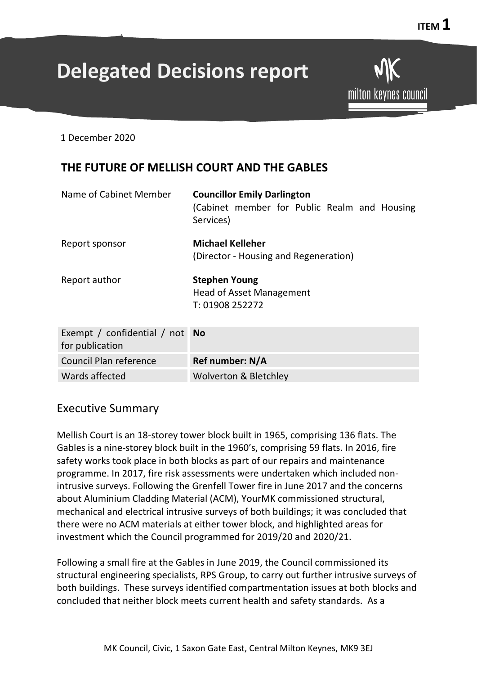# **Delegated Decisions report**

**ITEM**  $1$ 

1 December 2020

# **THE FUTURE OF MELLISH COURT AND THE GABLES**

| Name of Cabinet Member                         | <b>Councillor Emily Darlington</b><br>(Cabinet member for Public Realm and Housing<br>Services) |
|------------------------------------------------|-------------------------------------------------------------------------------------------------|
| Report sponsor                                 | Michael Kelleher<br>(Director - Housing and Regeneration)                                       |
| Report author                                  | <b>Stephen Young</b><br><b>Head of Asset Management</b><br>T: 01908 252272                      |
| Exempt / confidential / not<br>for publication | <b>No</b>                                                                                       |
| <b>Council Plan reference</b>                  | Ref number: N/A                                                                                 |
| Wards affected                                 | <b>Wolverton &amp; Bletchley</b>                                                                |

# Executive Summary

Mellish Court is an 18-storey tower block built in 1965, comprising 136 flats. The Gables is a nine-storey block built in the 1960's, comprising 59 flats. In 2016, fire safety works took place in both blocks as part of our repairs and maintenance programme. In 2017, fire risk assessments were undertaken which included nonintrusive surveys. Following the Grenfell Tower fire in June 2017 and the concerns about Aluminium Cladding Material (ACM), YourMK commissioned structural, mechanical and electrical intrusive surveys of both buildings; it was concluded that there were no ACM materials at either tower block, and highlighted areas for investment which the Council programmed for 2019/20 and 2020/21.

Following a small fire at the Gables in June 2019, the Council commissioned its structural engineering specialists, RPS Group, to carry out further intrusive surveys of both buildings. These surveys identified compartmentation issues at both blocks and concluded that neither block meets current health and safety standards. As a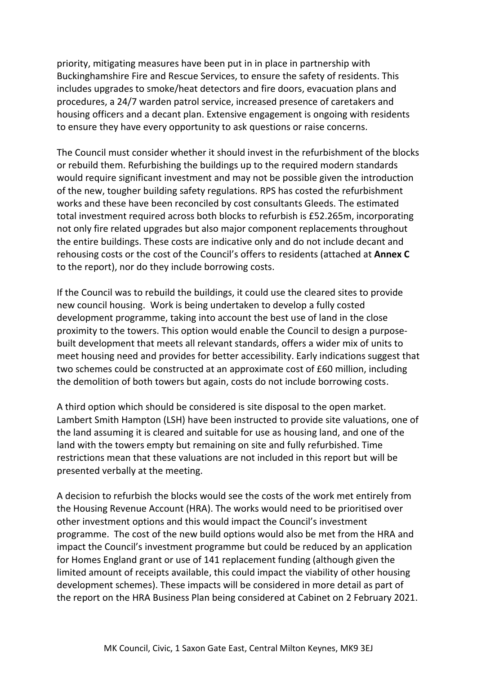priority, mitigating measures have been put in in place in partnership with Buckinghamshire Fire and Rescue Services, to ensure the safety of residents. This includes upgrades to smoke/heat detectors and fire doors, evacuation plans and procedures, a 24/7 warden patrol service, increased presence of caretakers and housing officers and a decant plan. Extensive engagement is ongoing with residents to ensure they have every opportunity to ask questions or raise concerns.

The Council must consider whether it should invest in the refurbishment of the blocks or rebuild them. Refurbishing the buildings up to the required modern standards would require significant investment and may not be possible given the introduction of the new, tougher building safety regulations. RPS has costed the refurbishment works and these have been reconciled by cost consultants Gleeds. The estimated total investment required across both blocks to refurbish is £52.265m, incorporating not only fire related upgrades but also major component replacements throughout the entire buildings. These costs are indicative only and do not include decant and rehousing costs or the cost of the Council's offers to residents (attached at **Annex C** to the report), nor do they include borrowing costs.

If the Council was to rebuild the buildings, it could use the cleared sites to provide new council housing. Work is being undertaken to develop a fully costed development programme, taking into account the best use of land in the close proximity to the towers. This option would enable the Council to design a purposebuilt development that meets all relevant standards, offers a wider mix of units to meet housing need and provides for better accessibility. Early indications suggest that two schemes could be constructed at an approximate cost of £60 million, including the demolition of both towers but again, costs do not include borrowing costs.

A third option which should be considered is site disposal to the open market. Lambert Smith Hampton (LSH) have been instructed to provide site valuations, one of the land assuming it is cleared and suitable for use as housing land, and one of the land with the towers empty but remaining on site and fully refurbished. Time restrictions mean that these valuations are not included in this report but will be presented verbally at the meeting.

A decision to refurbish the blocks would see the costs of the work met entirely from the Housing Revenue Account (HRA). The works would need to be prioritised over other investment options and this would impact the Council's investment programme. The cost of the new build options would also be met from the HRA and impact the Council's investment programme but could be reduced by an application for Homes England grant or use of 141 replacement funding (although given the limited amount of receipts available, this could impact the viability of other housing development schemes). These impacts will be considered in more detail as part of the report on the HRA Business Plan being considered at Cabinet on 2 February 2021.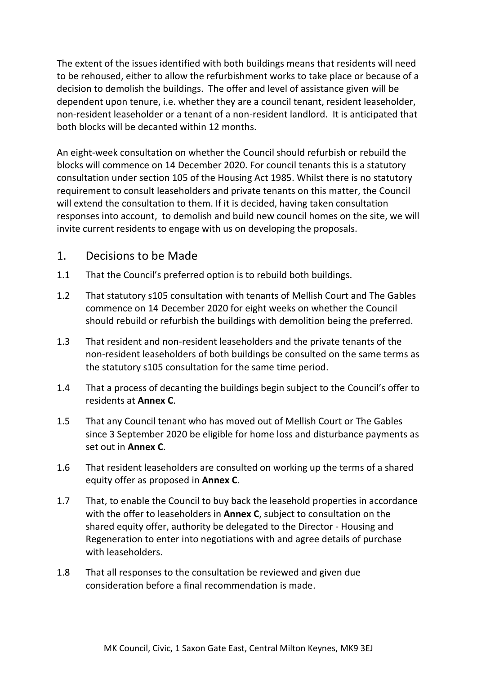The extent of the issues identified with both buildings means that residents will need to be rehoused, either to allow the refurbishment works to take place or because of a decision to demolish the buildings. The offer and level of assistance given will be dependent upon tenure, i.e. whether they are a council tenant, resident leaseholder, non-resident leaseholder or a tenant of a non-resident landlord. It is anticipated that both blocks will be decanted within 12 months.

An eight-week consultation on whether the Council should refurbish or rebuild the blocks will commence on 14 December 2020. For council tenants this is a statutory consultation under section 105 of the Housing Act 1985. Whilst there is no statutory requirement to consult leaseholders and private tenants on this matter, the Council will extend the consultation to them. If it is decided, having taken consultation responses into account, to demolish and build new council homes on the site, we will invite current residents to engage with us on developing the proposals.

# 1. Decisions to be Made

- 1.1 That the Council's preferred option is to rebuild both buildings.
- 1.2 That statutory s105 consultation with tenants of Mellish Court and The Gables commence on 14 December 2020 for eight weeks on whether the Council should rebuild or refurbish the buildings with demolition being the preferred.
- 1.3 That resident and non-resident leaseholders and the private tenants of the non-resident leaseholders of both buildings be consulted on the same terms as the statutory s105 consultation for the same time period.
- 1.4 That a process of decanting the buildings begin subject to the Council's offer to residents at **Annex C**.
- 1.5 That any Council tenant who has moved out of Mellish Court or The Gables since 3 September 2020 be eligible for home loss and disturbance payments as set out in **Annex C**.
- 1.6 That resident leaseholders are consulted on working up the terms of a shared equity offer as proposed in **Annex C**.
- 1.7 That, to enable the Council to buy back the leasehold properties in accordance with the offer to leaseholders in **Annex C**, subject to consultation on the shared equity offer, authority be delegated to the Director - Housing and Regeneration to enter into negotiations with and agree details of purchase with leaseholders.
- 1.8 That all responses to the consultation be reviewed and given due consideration before a final recommendation is made.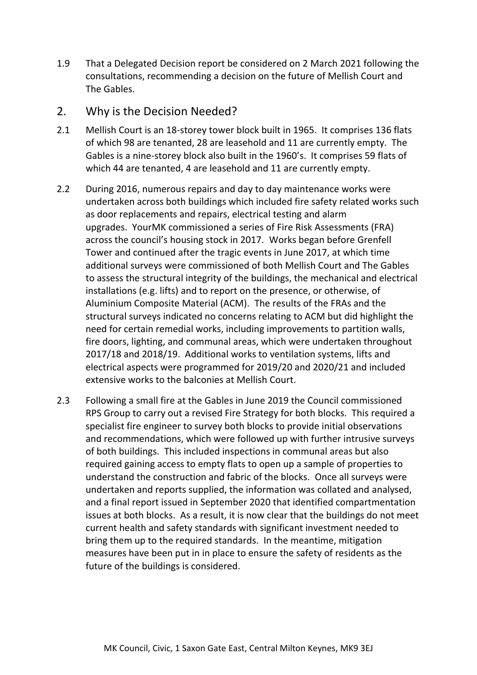1.9 That a Delegated Decision report be considered on 2 March 2021 following the consultations, recommending a decision on the future of Mellish Court and The Gables.

## 2. Why is the Decision Needed?

- 2.1 Mellish Court is an 18-storey tower block built in 1965. It comprises 136 flats of which 98 are tenanted, 28 are leasehold and 11 are currently empty. The Gables is a nine-storey block also built in the 1960's. It comprises 59 flats of which 44 are tenanted, 4 are leasehold and 11 are currently empty.
- 2.2 During 2016, numerous repairs and day to day maintenance works were undertaken across both buildings which included fire safety related works such as door replacements and repairs, electrical testing and alarm upgrades. YourMK commissioned a series of Fire Risk Assessments (FRA) across the council's housing stock in 2017. Works began before Grenfell Tower and continued after the tragic events in June 2017, at which time additional surveys were commissioned of both Mellish Court and The Gables to assess the structural integrity of the buildings, the mechanical and electrical installations (e.g. lifts) and to report on the presence, or otherwise, of Aluminium Composite Material (ACM). The results of the FRAs and the structural surveys indicated no concerns relating to ACM but did highlight the need for certain remedial works, including improvements to partition walls, fire doors, lighting, and communal areas, which were undertaken throughout 2017/18 and 2018/19. Additional works to ventilation systems, lifts and electrical aspects were programmed for 2019/20 and 2020/21 and included extensive works to the balconies at Mellish Court.
- 2.3 Following a small fire at the Gables in June 2019 the Council commissioned RPS Group to carry out a revised Fire Strategy for both blocks. This required a specialist fire engineer to survey both blocks to provide initial observations and recommendations, which were followed up with further intrusive surveys of both buildings. This included inspections in communal areas but also required gaining access to empty flats to open up a sample of properties to understand the construction and fabric of the blocks. Once all surveys were undertaken and reports supplied, the information was collated and analysed, and a final report issued in September 2020 that identified compartmentation issues at both blocks. As a result, it is now clear that the buildings do not meet current health and safety standards with significant investment needed to bring them up to the required standards. In the meantime, mitigation measures have been put in in place to ensure the safety of residents as the future of the buildings is considered.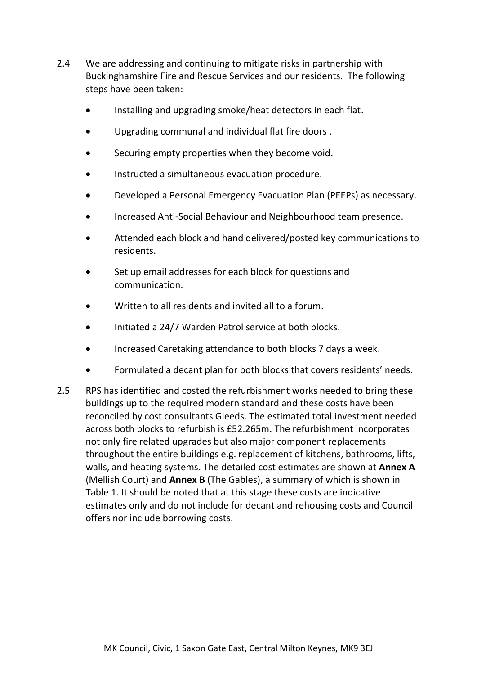- 2.4 We are addressing and continuing to mitigate risks in partnership with Buckinghamshire Fire and Rescue Services and our residents. The following steps have been taken:
	- Installing and upgrading smoke/heat detectors in each flat.
	- Upgrading communal and individual flat fire doors .
	- Securing empty properties when they become void.
	- Instructed a simultaneous evacuation procedure.
	- Developed a Personal Emergency Evacuation Plan (PEEPs) as necessary.
	- Increased Anti-Social Behaviour and Neighbourhood team presence.
	- Attended each block and hand delivered/posted key communications to residents.
	- Set up email addresses for each block for questions and communication.
	- Written to all residents and invited all to a forum.
	- Initiated a 24/7 Warden Patrol service at both blocks.
	- Increased Caretaking attendance to both blocks 7 days a week.
	- Formulated a decant plan for both blocks that covers residents' needs.
- 2.5 RPS has identified and costed the refurbishment works needed to bring these buildings up to the required modern standard and these costs have been reconciled by cost consultants Gleeds. The estimated total investment needed across both blocks to refurbish is £52.265m. The refurbishment incorporates not only fire related upgrades but also major component replacements throughout the entire buildings e.g. replacement of kitchens, bathrooms, lifts, walls, and heating systems. The detailed cost estimates are shown at **Annex A** (Mellish Court) and **Annex B** (The Gables), a summary of which is shown in Table 1. It should be noted that at this stage these costs are indicative estimates only and do not include for decant and rehousing costs and Council offers nor include borrowing costs.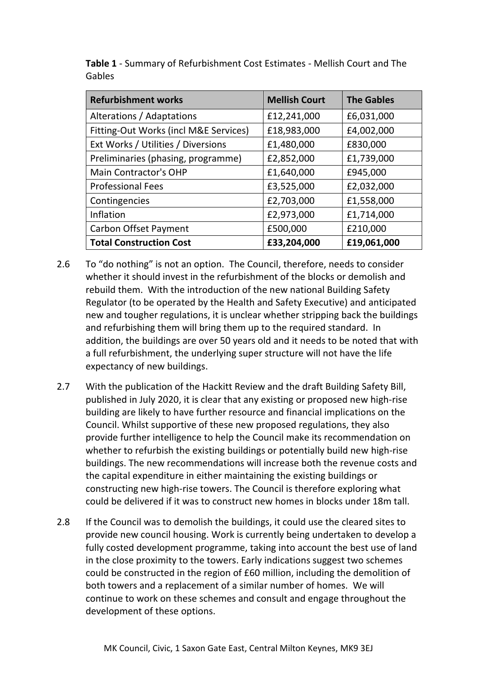| <b>Refurbishment works</b>            | <b>Mellish Court</b> | <b>The Gables</b> |
|---------------------------------------|----------------------|-------------------|
| Alterations / Adaptations             | £12,241,000          | £6,031,000        |
| Fitting-Out Works (incl M&E Services) | £18,983,000          | £4,002,000        |
| Ext Works / Utilities / Diversions    | £1,480,000           | £830,000          |
| Preliminaries (phasing, programme)    | £2,852,000           | £1,739,000        |
| <b>Main Contractor's OHP</b>          | £1,640,000           | £945,000          |
| <b>Professional Fees</b>              | £3,525,000           | £2,032,000        |
| Contingencies                         | £2,703,000           | £1,558,000        |
| Inflation                             | £2,973,000           | £1,714,000        |
| <b>Carbon Offset Payment</b>          | £500,000             | £210,000          |
| <b>Total Construction Cost</b>        | £33,204,000          | £19,061,000       |

**Table 1** - Summary of Refurbishment Cost Estimates - Mellish Court and The Gables

- 2.6 To "do nothing" is not an option. The Council, therefore, needs to consider whether it should invest in the refurbishment of the blocks or demolish and rebuild them. With the introduction of the new national Building Safety Regulator (to be operated by the Health and Safety Executive) and anticipated new and tougher regulations, it is unclear whether stripping back the buildings and refurbishing them will bring them up to the required standard. In addition, the buildings are over 50 years old and it needs to be noted that with a full refurbishment, the underlying super structure will not have the life expectancy of new buildings.
- 2.7 With the publication of the Hackitt Review and the draft Building Safety Bill, published in July 2020, it is clear that any existing or proposed new high-rise building are likely to have further resource and financial implications on the Council. Whilst supportive of these new proposed regulations, they also provide further intelligence to help the Council make its recommendation on whether to refurbish the existing buildings or potentially build new high-rise buildings. The new recommendations will increase both the revenue costs and the capital expenditure in either maintaining the existing buildings or constructing new high-rise towers. The Council is therefore exploring what could be delivered if it was to construct new homes in blocks under 18m tall.
- 2.8 If the Council was to demolish the buildings, it could use the cleared sites to provide new council housing. Work is currently being undertaken to develop a fully costed development programme, taking into account the best use of land in the close proximity to the towers. Early indications suggest two schemes could be constructed in the region of £60 million, including the demolition of both towers and a replacement of a similar number of homes. We will continue to work on these schemes and consult and engage throughout the development of these options.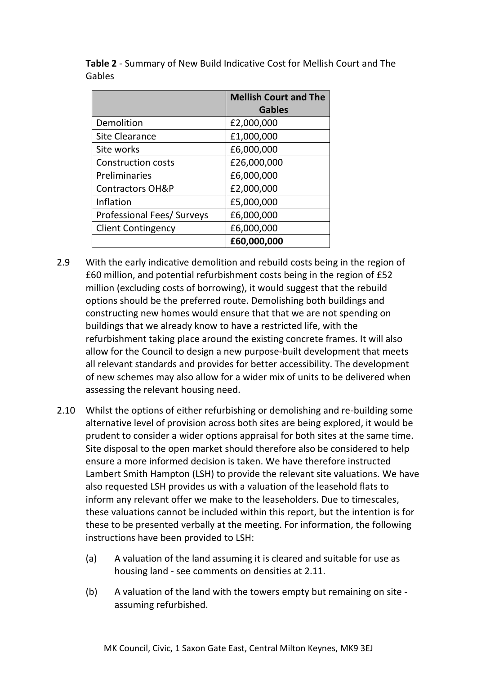|                                   | <b>Mellish Court and The</b> |  |
|-----------------------------------|------------------------------|--|
|                                   | <b>Gables</b>                |  |
| Demolition                        | £2,000,000                   |  |
| <b>Site Clearance</b>             | £1,000,000                   |  |
| Site works                        | £6,000,000                   |  |
| <b>Construction costs</b>         | £26,000,000                  |  |
| Preliminaries                     | £6,000,000                   |  |
| <b>Contractors OH&amp;P</b>       | £2,000,000                   |  |
| Inflation                         | £5,000,000                   |  |
| <b>Professional Fees/ Surveys</b> | £6,000,000                   |  |
| <b>Client Contingency</b>         | £6,000,000                   |  |
|                                   | £60,000,000                  |  |

**Table 2** - Summary of New Build Indicative Cost for Mellish Court and The Gables

- 2.9 With the early indicative demolition and rebuild costs being in the region of £60 million, and potential refurbishment costs being in the region of £52 million (excluding costs of borrowing), it would suggest that the rebuild options should be the preferred route. Demolishing both buildings and constructing new homes would ensure that that we are not spending on buildings that we already know to have a restricted life, with the refurbishment taking place around the existing concrete frames. It will also allow for the Council to design a new purpose-built development that meets all relevant standards and provides for better accessibility. The development of new schemes may also allow for a wider mix of units to be delivered when assessing the relevant housing need.
- 2.10 Whilst the options of either refurbishing or demolishing and re-building some alternative level of provision across both sites are being explored, it would be prudent to consider a wider options appraisal for both sites at the same time. Site disposal to the open market should therefore also be considered to help ensure a more informed decision is taken. We have therefore instructed Lambert Smith Hampton (LSH) to provide the relevant site valuations. We have also requested LSH provides us with a valuation of the leasehold flats to inform any relevant offer we make to the leaseholders. Due to timescales, these valuations cannot be included within this report, but the intention is for these to be presented verbally at the meeting. For information, the following instructions have been provided to LSH:
	- (a) A valuation of the land assuming it is cleared and suitable for use as housing land - see comments on densities at 2.11.
	- (b) A valuation of the land with the towers empty but remaining on site assuming refurbished.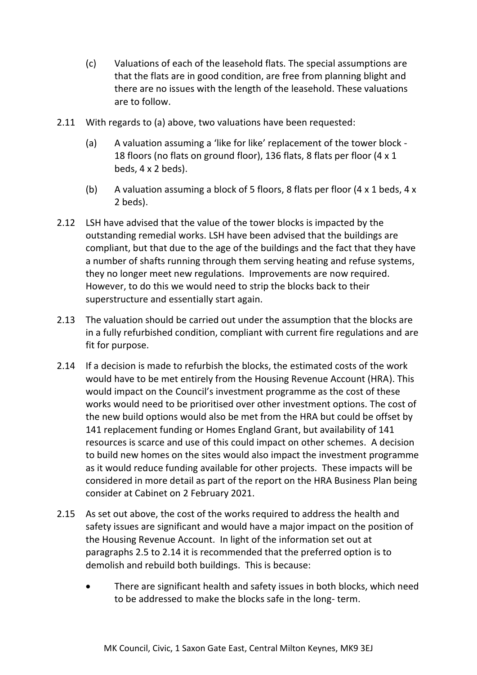- (c) Valuations of each of the leasehold flats. The special assumptions are that the flats are in good condition, are free from planning blight and there are no issues with the length of the leasehold. These valuations are to follow.
- 2.11 With regards to (a) above, two valuations have been requested:
	- (a) A valuation assuming a 'like for like' replacement of the tower block 18 floors (no flats on ground floor), 136 flats, 8 flats per floor (4 x 1 beds, 4 x 2 beds).
	- (b) A valuation assuming a block of 5 floors, 8 flats per floor (4 x 1 beds, 4 x 2 beds).
- 2.12 LSH have advised that the value of the tower blocks is impacted by the outstanding remedial works. LSH have been advised that the buildings are compliant, but that due to the age of the buildings and the fact that they have a number of shafts running through them serving heating and refuse systems, they no longer meet new regulations. Improvements are now required. However, to do this we would need to strip the blocks back to their superstructure and essentially start again.
- 2.13 The valuation should be carried out under the assumption that the blocks are in a fully refurbished condition, compliant with current fire regulations and are fit for purpose.
- 2.14 If a decision is made to refurbish the blocks, the estimated costs of the work would have to be met entirely from the Housing Revenue Account (HRA). This would impact on the Council's investment programme as the cost of these works would need to be prioritised over other investment options. The cost of the new build options would also be met from the HRA but could be offset by 141 replacement funding or Homes England Grant, but availability of 141 resources is scarce and use of this could impact on other schemes. A decision to build new homes on the sites would also impact the investment programme as it would reduce funding available for other projects. These impacts will be considered in more detail as part of the report on the HRA Business Plan being consider at Cabinet on 2 February 2021.
- 2.15 As set out above, the cost of the works required to address the health and safety issues are significant and would have a major impact on the position of the Housing Revenue Account. In light of the information set out at paragraphs 2.5 to 2.14 it is recommended that the preferred option is to demolish and rebuild both buildings. This is because:
	- There are significant health and safety issues in both blocks, which need to be addressed to make the blocks safe in the long- term.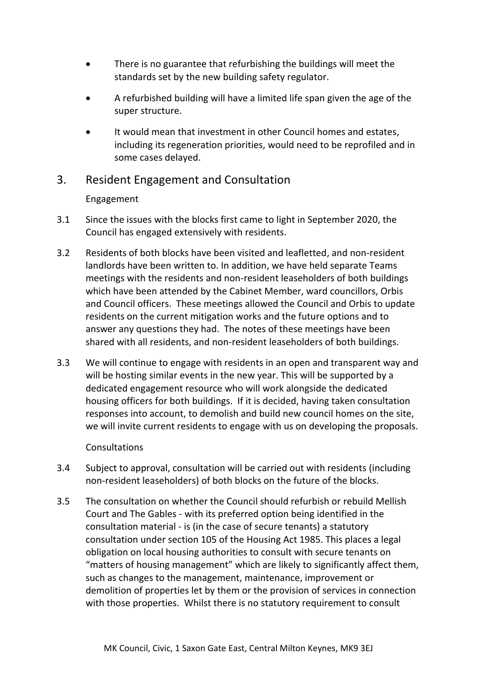- There is no guarantee that refurbishing the buildings will meet the standards set by the new building safety regulator.
- A refurbished building will have a limited life span given the age of the super structure.
- It would mean that investment in other Council homes and estates, including its regeneration priorities, would need to be reprofiled and in some cases delayed.

# 3. Resident Engagement and Consultation

## Engagement

- 3.1 Since the issues with the blocks first came to light in September 2020, the Council has engaged extensively with residents.
- 3.2 Residents of both blocks have been visited and leafletted, and non-resident landlords have been written to. In addition, we have held separate Teams meetings with the residents and non-resident leaseholders of both buildings which have been attended by the Cabinet Member, ward councillors, Orbis and Council officers. These meetings allowed the Council and Orbis to update residents on the current mitigation works and the future options and to answer any questions they had. The notes of these meetings have been shared with all residents, and non-resident leaseholders of both buildings.
- 3.3 We will continue to engage with residents in an open and transparent way and will be hosting similar events in the new year. This will be supported by a dedicated engagement resource who will work alongside the dedicated housing officers for both buildings. If it is decided, having taken consultation responses into account, to demolish and build new council homes on the site, we will invite current residents to engage with us on developing the proposals.

### Consultations

- 3.4 Subject to approval, consultation will be carried out with residents (including non-resident leaseholders) of both blocks on the future of the blocks.
- 3.5 The consultation on whether the Council should refurbish or rebuild Mellish Court and The Gables - with its preferred option being identified in the consultation material - is (in the case of secure tenants) a statutory consultation under section 105 of the Housing Act 1985. This places a legal obligation on local housing authorities to consult with secure tenants on "matters of housing management" which are likely to significantly affect them, such as changes to the management, maintenance, improvement or demolition of properties let by them or the provision of services in connection with those properties. Whilst there is no statutory requirement to consult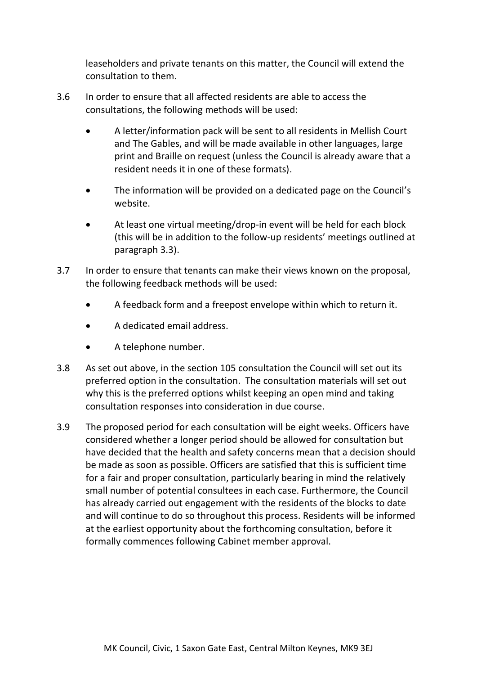leaseholders and private tenants on this matter, the Council will extend the consultation to them.

- 3.6 In order to ensure that all affected residents are able to access the consultations, the following methods will be used:
	- A letter/information pack will be sent to all residents in Mellish Court and The Gables, and will be made available in other languages, large print and Braille on request (unless the Council is already aware that a resident needs it in one of these formats).
	- The information will be provided on a dedicated page on the Council's website.
	- At least one virtual meeting/drop-in event will be held for each block (this will be in addition to the follow-up residents' meetings outlined at paragraph 3.3).
- 3.7 In order to ensure that tenants can make their views known on the proposal, the following feedback methods will be used:
	- A feedback form and a freepost envelope within which to return it.
	- A dedicated email address.
	- A telephone number.
- 3.8 As set out above, in the section 105 consultation the Council will set out its preferred option in the consultation. The consultation materials will set out why this is the preferred options whilst keeping an open mind and taking consultation responses into consideration in due course.
- 3.9 The proposed period for each consultation will be eight weeks. Officers have considered whether a longer period should be allowed for consultation but have decided that the health and safety concerns mean that a decision should be made as soon as possible. Officers are satisfied that this is sufficient time for a fair and proper consultation, particularly bearing in mind the relatively small number of potential consultees in each case. Furthermore, the Council has already carried out engagement with the residents of the blocks to date and will continue to do so throughout this process. Residents will be informed at the earliest opportunity about the forthcoming consultation, before it formally commences following Cabinet member approval.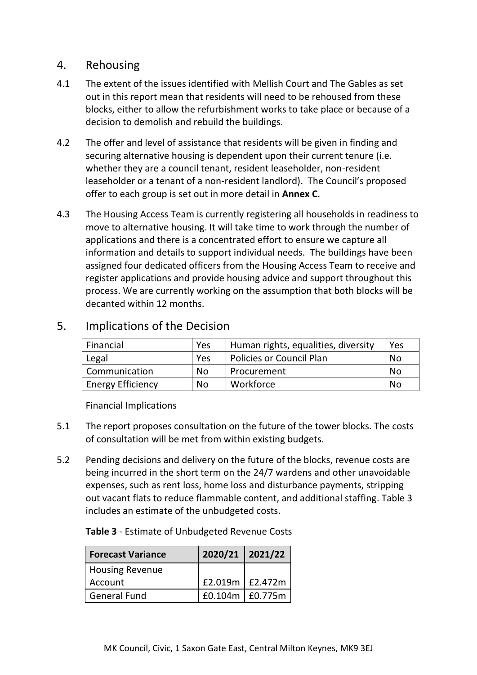## 4. Rehousing

- 4.1 The extent of the issues identified with Mellish Court and The Gables as set out in this report mean that residents will need to be rehoused from these blocks, either to allow the refurbishment works to take place or because of a decision to demolish and rebuild the buildings.
- 4.2 The offer and level of assistance that residents will be given in finding and securing alternative housing is dependent upon their current tenure (i.e. whether they are a council tenant, resident leaseholder, non-resident leaseholder or a tenant of a non-resident landlord). The Council's proposed offer to each group is set out in more detail in **Annex C**.
- 4.3 The Housing Access Team is currently registering all households in readiness to move to alternative housing. It will take time to work through the number of applications and there is a concentrated effort to ensure we capture all information and details to support individual needs. The buildings have been assigned four dedicated officers from the Housing Access Team to receive and register applications and provide housing advice and support throughout this process. We are currently working on the assumption that both blocks will be decanted within 12 months.

| Financial                | Yes       | Human rights, equalities, diversity | Yes |
|--------------------------|-----------|-------------------------------------|-----|
| Legal                    | Yes       | Policies or Council Plan            | No  |
| Communication            | <b>No</b> | Procurement                         | No  |
| <b>Energy Efficiency</b> | No        | Workforce                           | No  |

## 5. Implications of the Decision

Financial Implications

- 5.1 The report proposes consultation on the future of the tower blocks. The costs of consultation will be met from within existing budgets.
- 5.2 Pending decisions and delivery on the future of the blocks, revenue costs are being incurred in the short term on the 24/7 wardens and other unavoidable expenses, such as rent loss, home loss and disturbance payments, stripping out vacant flats to reduce flammable content, and additional staffing. Table 3 includes an estimate of the unbudgeted costs.

### **Table 3** - Estimate of Unbudgeted Revenue Costs

| <b>Forecast Variance</b> | 2020/21 2021/22    |  |
|--------------------------|--------------------|--|
| <b>Housing Revenue</b>   |                    |  |
| Account                  | £2.019m $E$ 2.472m |  |
| General Fund             | £0.104m   £0.775m  |  |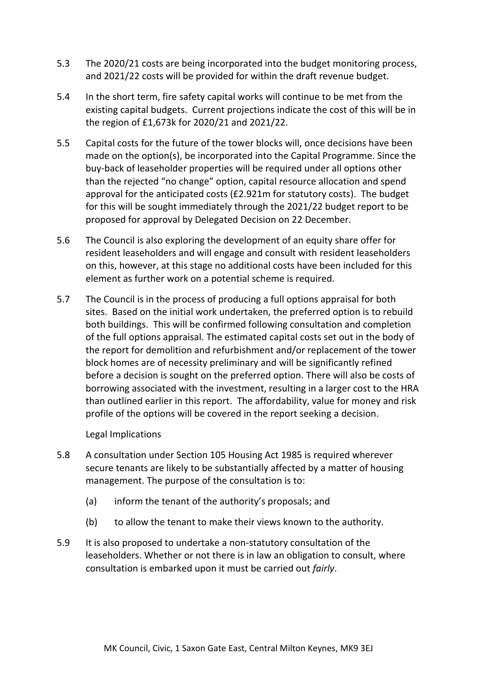- 5.3 The 2020/21 costs are being incorporated into the budget monitoring process, and 2021/22 costs will be provided for within the draft revenue budget.
- 5.4 In the short term, fire safety capital works will continue to be met from the existing capital budgets. Current projections indicate the cost of this will be in the region of £1,673k for 2020/21 and 2021/22.
- 5.5 Capital costs for the future of the tower blocks will, once decisions have been made on the option(s), be incorporated into the Capital Programme. Since the buy-back of leaseholder properties will be required under all options other than the rejected "no change" option, capital resource allocation and spend approval for the anticipated costs (£2.921m for statutory costs). The budget for this will be sought immediately through the 2021/22 budget report to be proposed for approval by Delegated Decision on 22 December.
- 5.6 The Council is also exploring the development of an equity share offer for resident leaseholders and will engage and consult with resident leaseholders on this, however, at this stage no additional costs have been included for this element as further work on a potential scheme is required.
- 5.7 The Council is in the process of producing a full options appraisal for both sites. Based on the initial work undertaken, the preferred option is to rebuild both buildings. This will be confirmed following consultation and completion of the full options appraisal. The estimated capital costs set out in the body of the report for demolition and refurbishment and/or replacement of the tower block homes are of necessity preliminary and will be significantly refined before a decision is sought on the preferred option. There will also be costs of borrowing associated with the investment, resulting in a larger cost to the HRA than outlined earlier in this report. The affordability, value for money and risk profile of the options will be covered in the report seeking a decision.

Legal Implications

- 5.8 A consultation under Section 105 Housing Act 1985 is required wherever secure tenants are likely to be substantially affected by a matter of housing management. The purpose of the consultation is to:
	- (a) inform the tenant of the authority's proposals; and
	- (b) to allow the tenant to make their views known to the authority.
- 5.9 It is also proposed to undertake a non-statutory consultation of the leaseholders. Whether or not there is in law an obligation to consult, where consultation is embarked upon it must be carried out *fairly*.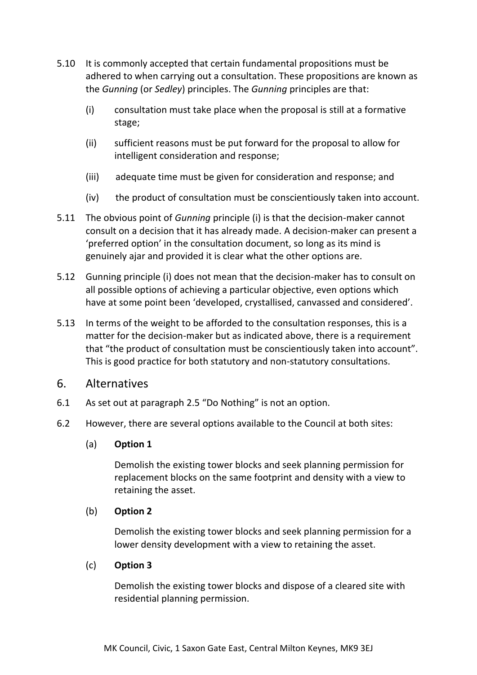- 5.10 It is commonly accepted that certain fundamental propositions must be adhered to when carrying out a consultation. These propositions are known as the *Gunning* (or *Sedley*) principles. The *Gunning* principles are that:
	- (i) consultation must take place when the proposal is still at a formative stage;
	- (ii) sufficient reasons must be put forward for the proposal to allow for intelligent consideration and response;
	- (iii) adequate time must be given for consideration and response; and
	- (iv) the product of consultation must be conscientiously taken into account.
- 5.11 The obvious point of *Gunning* principle (i) is that the decision-maker cannot consult on a decision that it has already made. A decision-maker can present a 'preferred option' in the consultation document, so long as its mind is genuinely ajar and provided it is clear what the other options are.
- 5.12 Gunning principle (i) does not mean that the decision-maker has to consult on all possible options of achieving a particular objective, even options which have at some point been 'developed, crystallised, canvassed and considered'.
- 5.13 In terms of the weight to be afforded to the consultation responses, this is a matter for the decision-maker but as indicated above, there is a requirement that "the product of consultation must be conscientiously taken into account". This is good practice for both statutory and non-statutory consultations.

## 6. Alternatives

- 6.1 As set out at paragraph 2.5 "Do Nothing" is not an option.
- 6.2 However, there are several options available to the Council at both sites:

### (a) **Option 1**

Demolish the existing tower blocks and seek planning permission for replacement blocks on the same footprint and density with a view to retaining the asset.

### (b) **Option 2**

Demolish the existing tower blocks and seek planning permission for a lower density development with a view to retaining the asset.

### (c) **Option 3**

Demolish the existing tower blocks and dispose of a cleared site with residential planning permission.